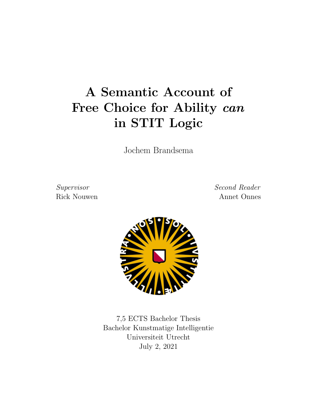# A Semantic Account of Free Choice for Ability can in STIT Logic

Jochem Brandsema

Supervisor Second Reader Rick Nouwen Annet Onnes



7,5 ECTS Bachelor Thesis Bachelor Kunstmatige Intelligentie Universiteit Utrecht July 2, 2021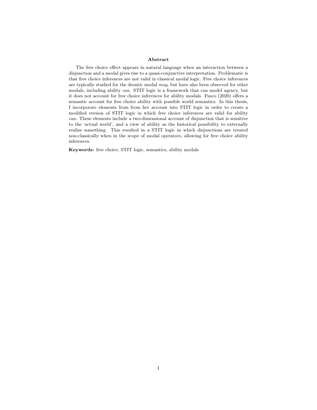#### Abstract

The free choice effect appears in natural language when an interaction between a disjunction and a modal gives rise to a quasi-conjunctive interpretation. Problematic is that free choice inferences are not valid in classical modal logic. Free choice inferences are typically studied for the deontic modal may, but have also been observed for other modals, including ability can. STIT logic is a framework that can model agency, but it does not account for free choice inferences for ability modals. Fusco (2020) offers a semantic account for free choice ability with possible world semantics. In this thesis, I incorporate elements from from her account into STIT logic in order to create a modified version of STIT logic in which free choice inferences are valid for ability can. These elements include a two-dimensional account of disjunction that is sensitive to the 'actual world', and a view of ability as the historical possibility to externally realize something. This resulted in a STIT logic in which disjunctions are treated non-classically when in the scope of modal operators, allowing for free choice ability inferences.

Keywords: free choice, STIT logic, semantics, ability modals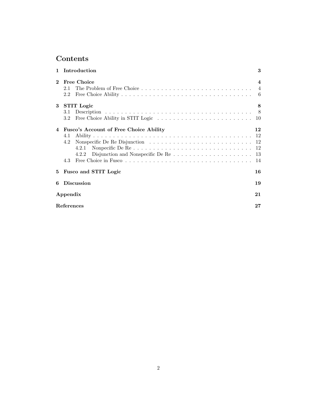## Contents

|              | 1 Introduction                                                                                                                                                              | 3                      |
|--------------|-----------------------------------------------------------------------------------------------------------------------------------------------------------------------------|------------------------|
| $\mathbf{2}$ | Free Choice<br>2.1<br>2.2                                                                                                                                                   | $\boldsymbol{\Lambda}$ |
|              | 3 STIT Logic<br>3.1<br>$3.2\phantom{0}$                                                                                                                                     | 8<br>8<br>10           |
|              | 4 Fusco's Account of Free Choice Ability<br>4.1<br>Nonspecific De Re Disjunction $\ldots \ldots \ldots \ldots \ldots \ldots \ldots \ldots \ldots 12$<br>4.2<br>4.2.2<br>4.3 | 12<br>14               |
| $5^{\circ}$  | Fusco and STIT Logic                                                                                                                                                        | 16                     |
| 6            | <b>Discussion</b>                                                                                                                                                           | 19                     |
|              | Appendix                                                                                                                                                                    |                        |
|              | References                                                                                                                                                                  |                        |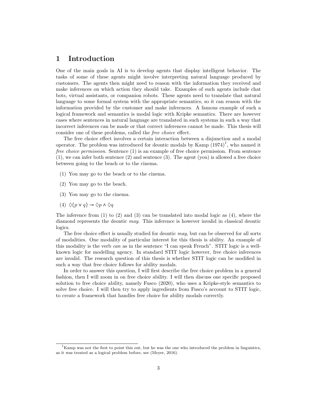## 1 Introduction

One of the main goals in AI is to develop agents that display intelligent behavior. The tasks of some of these agents might involve interpreting natural language produced by customers. The agents then might need to reason with the information they received and make inferences on which action they should take. Examples of such agents include chat bots, virtual assistants, or companion robots. These agents need to translate that natural language to some formal system with the appropriate semantics, so it can reason with the information provided by the customer and make inferences. A famous example of such a logical framework and semantics is modal logic with Kripke semantics. There are however cases where sentences in natural language are translated in such systems in such a way that incorrect inferences can be made or that correct inferences cannot be made. This thesis will consider one of these problems, called the free choice effect.

The free choice effect involves a certain interaction between a disjunction and a modal operator. The problem was introduced for deontic modals by Kamp  $(1974)^1$ , who named it free choice permission. Sentence (1) is an example of free choice permission. From sentence (1), we can infer both sentence (2) and sentence (3). The agent (you) is allowed a free choice between going to the beach or to the cinema.

- (1) You may go to the beach or to the cinema.
- (2) You may go to the beach.
- (3) You may go to the cinema.
- $(4) \triangle (p \vee q) \rightarrow \triangle p \wedge \triangle q$

The inference from  $(1)$  to  $(2)$  and  $(3)$  can be translated into modal logic as  $(4)$ , where the diamond represents the deontic may. This inference is however invalid in classical deontic logics.

The free choice effect is usually studied for deontic may, but can be observed for all sorts of modalities. One modality of particular interest for this thesis is ability. An example of this modality is the verb can as in the sentence "I can speak French". STIT logic is a wellknown logic for modelling agency. In standard STIT logic however, free choice inferences are invalid. The research question of this thesis is whether STIT logic can be modified in such a way that free choice follows for ability modals.

In order to answer this question, I will first describe the free choice problem in a general fashion, then I will zoom in on free choice ability. I will then discuss one specific proposed solution to free choice ability, namely Fusco (2020), who uses a Kripke-style semantics to solve free choice. I will then try to apply ingredients from Fusco's account to STIT logic, to create a framework that handles free choice for ability modals correctly.

 ${}^{1}$ Kamp was not the first to point this out, but he was the one who introduced the problem in linguistics, as it was treated as a logical problem before, see (Meyer, 2016).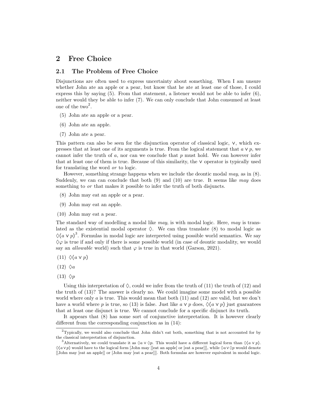## 2 Free Choice

#### 2.1 The Problem of Free Choice

Disjunctions are often used to express uncertainty about something. When I am unsure whether John ate an apple or a pear, but know that he ate at least one of those, I could express this by saying  $(5)$ . From that statement, a listener would not be able to infer  $(6)$ , neither would they be able to infer (7). We can only conclude that John consumed at least one of the  $two^2$ .

- (5) John ate an apple or a pear.
- (6) John ate an apple.
- (7) John ate a pear.

This pattern can also be seen for the disjunction operator of classical logic, ∨, which expresses that at least one of its arguments is true. From the logical statement that  $a \vee p$ , we cannot infer the truth of  $a$ , nor can we conclude that  $p$  must hold. We can however infer that at least one of them is true. Because of this similarity, the ∨ operator is typically used for translating the word or to logic.

However, something strange happens when we include the deontic modal may, as in  $(8)$ . Suddenly, we can can conclude that both  $(9)$  and  $(10)$  are true. It seems like may does something to *or* that makes it possible to infer the truth of both disjuncts.

- (8) John may eat an apple or a pear.
- (9) John may eat an apple.
- (10) John may eat a pear.

The standard way of modelling a modal like may, is with modal logic. Here, may is translated as the existential modal operator  $\Diamond$ . We can thus translate (8) to modal logic as  $\Diamond(a \vee p)^3$ . Formulas in modal logic are interpreted using possible world semantics. We say  $\Diamond \varphi$  is true if and only if there is some possible world (in case of deontic modality, we would say an *allowable* world) such that  $\varphi$  is true in that world (Garson, 2021).

- $(11) \triangle (a \vee p)$
- $(12)$   $\Diamond a$
- $(13)$   $\Diamond p$

Using this interpretation of  $\Diamond$ , could we infer from the truth of (11) the truth of (12) and the truth of (13)? The answer is clearly no. We could imagine some model with a possible world where only  $a$  is true. This would mean that both  $(11)$  and  $(12)$  are valid, but we don't have a world where p is true, so (13) is false. Just like  $a \vee p$  does,  $\Diamond(a \vee p)$  just guarantees that at least one disjunct is true. We cannot conclude for a specific disjunct its truth.

It appears that (8) has some sort of conjunctive interpretation. It is however clearly different from the corresponding conjunction as in (14):

<sup>&</sup>lt;sup>2</sup>Typically, we would also conclude that John didn't eat both, something that is not accounted for by the classical interpretation of disjunction.

<sup>&</sup>lt;sup>3</sup>Alternatively, we could translate it as  $\Diamond a \vee \Diamond p$ . This would have a different logical form than  $\Diamond (a \vee p)$ .  $\Diamond(a\vee p)$  would have to the logical form [John may [[eat an apple] or [eat a pear]]], while  $\Diamond a\vee \Diamond p$  would denote [[John may [eat an apple]] or [John may [eat a pear]]]. Both formulas are however equivalent in modal logic.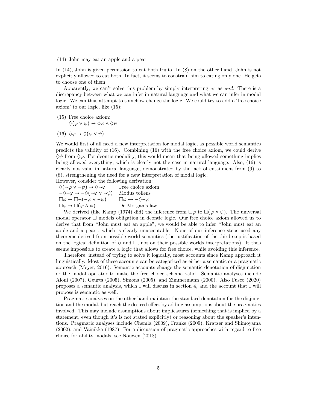(14) John may eat an apple and a pear.

In (14), John is given permission to eat both fruits. In (8) on the other hand, John is not explicitly allowed to eat both. In fact, it seems to constrain him to eating only one. He gets to choose one of them.

Apparently, we can't solve this problem by simply interpreting or as and. There is a discrepancy between what we can infer in natural language and what we can infer in modal logic. We can thus attempt to somehow change the logic. We could try to add a 'free choice axiom' to our logic, like (15):

(15) Free choice axiom:  $\Diamond(\varphi \lor \psi) \rightarrow \Diamond \varphi \land \Diamond \psi$ 

(16)  $\Diamond \varphi \rightarrow \Diamond (\varphi \vee \psi)$ 

We would first of all need a new interpretation for modal logic, as possible world semantics predicts the validity of (16). Combining (16) with the free choice axiom, we could derive  $\Diamond \psi$  from  $\Diamond \varphi$ . For deontic modality, this would mean that being allowed something implies being allowed everything, which is clearly not the case in natural language. Also, (16) is clearly not valid in natural language, demonstrated by the lack of entailment from (9) to (8), strengthening the need for a new interpretation of modal logic.

However, consider the following derivation:

 $\Diamond(\neg \varphi \lor \neg \psi) \rightarrow \Diamond \neg \varphi$  Free choice axiom  $\neg \Diamond \neg \varphi \rightarrow \neg \Diamond (\neg \varphi \lor \neg \psi)$  Modus tollens  $\Box \varphi \rightarrow \Box \neg (\neg \varphi \vee \neg \psi) \qquad \Box \varphi \leftrightarrow \neg \Diamond \neg \varphi$  $\Box \varphi \rightarrow \Box (\varphi \wedge \psi)$  De Morgan's law

We derived (like Kamp (1974) did) the inference from  $\Box\varphi$  to  $\Box(\varphi \wedge \psi)$ . The universal modal operator  $\Box$  models obligation in deontic logic. Our free choice axiom allowed us to derive that from "John must eat an apple", we would be able to infer "John must eat an apple and a pear", which is clearly unacceptable. None of our inference steps used any theorems derived from possible world semantics (the justification of the third step is based on the logical definition of  $\Diamond$  and  $\Box$ , not on their possible worlds interpretations). It thus seems impossible to create a logic that allows for free choice, while avoiding this inference.

Therefore, instead of trying to solve it logically, most accounts since Kamp approach it linguistically. Most of these accounts can be categorized as either a semantic or a pragmatic approach (Meyer, 2016). Semantic accounts change the semantic denotation of disjunction or the modal operator to make the free choice schema valid. Semantic analyses include Aloni (2007), Geurts (2005), Simons (2005), and Zimmermann (2000). Also Fusco (2020) proposes a semantic analysis, which I will discuss in section 4, and the account that I will propose is semantic as well.

Pragmatic analyses on the other hand maintain the standard denotation for the disjunction and the modal, but reach the desired effect by adding assumptions about the pragmatics involved. This may include assumptions about implicatures (something that is implied by a statement, even though it's is not stated explicitly) or reasoning about the speaker's intentions. Pragmatic analyses include Chemla (2009), Franke (2009), Kratzer and Shimoyama (2002), and Vainikka (1987). For a discussion of pragmatic approaches with regard to free choice for ability modals, see Nouwen (2018).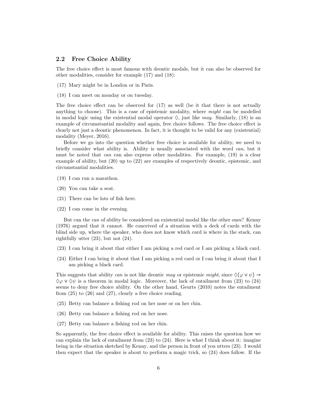#### 2.2 Free Choice Ability

The free choice effect is most famous with deontic modals, but it can also be observed for other modalities, consider for example (17) and (18):

- (17) Mary might be in London or in Paris.
- (18) I can meet on monday or on tuesday.

The free choice effect can be observed for (17) as well (be it that there is not actually anything to choose). This is a case of epistemic modality, where *might* can be modelled in modal logic using the existential modal operator  $\Diamond$ , just like may. Similarly, (18) is an example of circumstantial modality and again, free choice follows. The free choice effect is clearly not just a deontic phenomenon. In fact, it is thought to be valid for any (existential) modality (Meyer, 2016).

Before we go into the question whether free choice is available for ability, we need to briefly consider what ability is. Ability is usually associated with the word can, but it must be noted that can can also express other modalities. For example, (19) is a clear example of ability, but (20) up to (22) are examples of respectively deontic, epistemic, and circumstantial modalities.

- (19) I can run a marathon.
- (20) You can take a seat.
- (21) There can be lots of fish here.
- (22) I can come in the evening.

But can the can of ability be considered an existential modal like the other ones? Kenny (1976) argued that it cannot. He conceived of a situation with a deck of cards with the blind side up, where the speaker, who does not know which card is where in the stack, can rightfully utter (23), but not (24).

- (23) I can bring it about that either I am picking a red card or I am picking a black card.
- (24) Either I can bring it about that I am picking a red card or I can bring it about that I am picking a black card.

This suggests that ability can is not like deontic may or epistemic might, since  $\Diamond(\varphi \vee \psi) \rightarrow$  $\Diamond \varphi \lor \Diamond \psi$  is a theorem in modal logic. Moreover, the lack of entailment from (23) to (24) seems to deny free choice ability. On the other hand, Geurts (2010) notes the entailment from (25) to (26) and (27), clearly a free choice reading.

- (25) Betty can balance a fishing rod on her nose or on her chin.
- (26) Betty can balance a fishing rod on her nose.
- (27) Betty can balance a fishing rod on her chin.

So apparently, the free choice effect is available for ability. This raises the question how we can explain the lack of entailment from  $(23)$  to  $(24)$ . Here is what I think about it: imagine being in the situation sketched by Kenny, and the person in front of you utters (23). I would then expect that the speaker is about to perform a magic trick, so (24) does follow. If the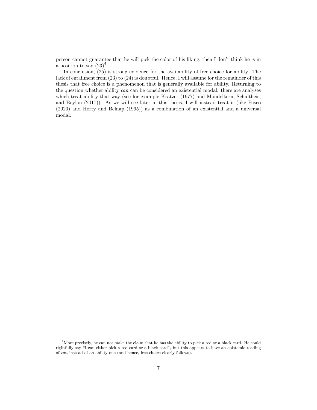person cannot guarantee that he will pick the color of his liking, then I don't think he is in a position to say  $(23)^4$ .

In conclusion, (25) is strong evidence for the availability of free choice for ability. The lack of entailment from (23) to (24) is doubtful. Hence, I will assume for the remainder of this thesis that free choice is a phenomenon that is generally available for ability. Returning to the question whether ability can can be considered an existential modal: there are analyses which treat ability that way (see for example Kratzer (1977) and Mandelkern, Schultheis, and Boylan (2017)). As we will see later in this thesis, I will instead treat it (like Fusco (2020) and Horty and Belnap (1995)) as a combination of an existential and a universal modal.

 $^{4}$ More precisely, he can not make the claim that he has the ability to pick a red or a black card. He could rightfully say "I can either pick a red card or a black card", but this appears to have an epistemic reading of can instead of an ability one (and hence, free choice clearly follows).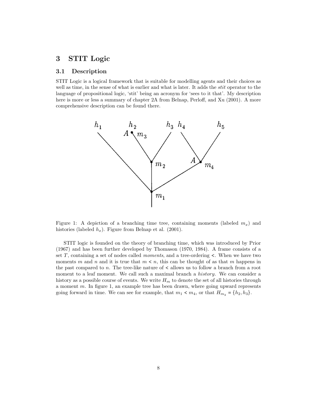## 3 STIT Logic

#### 3.1 Description

STIT Logic is a logical framework that is suitable for modelling agents and their choices as well as time, in the sense of what is earlier and what is later. It adds the *stit* operator to the language of propositional logic, 'stit' being an acronym for 'sees to it that'. My description here is more or less a summary of chapter 2A from Belnap, Perloff, and Xu (2001). A more comprehensive description can be found there.



Figure 1: A depiction of a branching time tree, containing moments (labeled  $m_x$ ) and histories (labeled  $h_x$ ). Figure from Belnap et al. (2001).

STIT logic is founded on the theory of branching time, which was introduced by Prior (1967) and has been further developed by Thomason (1970, 1984). A frame consists of a set T, containing a set of nodes called *moments*, and a tree-ordering  $\lt$ . When we have two moments m and n and it is true that  $m < n$ , this can be thought of as that m happens in the past compared to  $n$ . The tree-like nature of  $\lt$  allows us to follow a branch from a root moment to a leaf moment. We call such a maximal branch a *history*. We can consider a history as a possible course of events. We write  $H_m$  to denote the set of all histories through a moment  $m$ . In figure 1, an example tree has been drawn, where going upward represents going forward in time. We can see for example, that  $m_1 < m_4$ , or that  $H_{m_2} = \{h_2, h_3\}$ .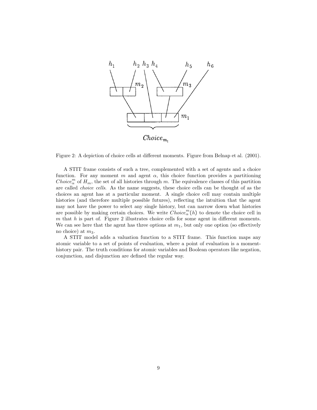

Figure 2: A depiction of choice cells at different moments. Figure from Belnap et al. (2001).

A STIT frame consists of such a tree, complemented with a set of agents and a choice function. For any moment m and agent  $\alpha$ , this choice function provides a partitioning  $Choice_{\alpha}^{m}$  of  $H_{m}$ , the set of all histories through m. The equivalence classes of this partition are called choice cells. As the name suggests, these choice cells can be thought of as the choices an agent has at a particular moment. A single choice cell may contain multiple histories (and therefore multiple possible futures), reflecting the intuition that the agent may not have the power to select any single history, but can narrow down what histories are possible by making certain choices. We write  $\widehat{Choice}_{\alpha}^{m}(h)$  to denote the choice cell in  $m$  that  $h$  is part of. Figure 2 illustrates choice cells for some agent in different moments. We can see here that the agent has three options at  $m_1$ , but only one option (so effectively no choice) at  $m_3$ .

A STIT model adds a valuation function to a STIT frame. This function maps any atomic variable to a set of points of evaluation, where a point of evaluation is a momenthistory pair. The truth conditions for atomic variables and Boolean operators like negation, conjunction, and disjunction are defined the regular way.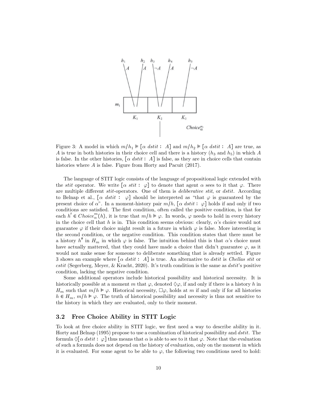

Figure 3: A model in which  $m/h_1 \vDash [\alpha \text{ dist } : A]$  and  $m/h_2 \vDash [\alpha \text{ dist } : A]$  are true, as A is true in both histories in their choice cell and there is a history  $(h_3 \text{ and } h_5)$  in which A is false. In the other histories,  $\lceil \alpha \; \text{dstit} \colon A \rceil$  is false, as they are in choice cells that contain histories where A is false. Figure from Horty and Pacuit  $(2017)$ .

The language of STIT logic consists of the language of propositional logic extended with the stit operator. We write  $\lbrack \alpha \ \text{stit} \ \cdotp \varphi \rbrack$  to denote that agent  $\alpha$  sees to it that  $\varphi$ . There are multiple different *stit*-operators. One of them is *deliberative stit*, or *dstit*. According to Belnap et al.,  $\lceil \alpha \text{ distit} \rceil$  should be interpreted as "that  $\varphi$  is guaranteed by the present choice of  $\alpha$ ". In a moment-history pair  $m/h$ ,  $\lceil \alpha \, \text{dstit} \, : \, \varphi \rceil$  holds if and only if two conditions are satisfied. The first condition, often called the positive condition, is that for each  $h' \in Choice_{\alpha}^{m}(h)$ , it is true that  $m/h \models \varphi$ . In words,  $\varphi$  needs to hold in every history in the choice cell that h is in. This condition seems obvious: clearly,  $\alpha$ 's choice would not guarantee  $\varphi$  if their choice might result in a future in which  $\varphi$  is false. More interesting is the second condition, or the negative condition. This condition states that there must be a history  $h''$  in  $H_m$  in which  $\varphi$  is false. The intuition behind this is that  $\alpha$ 's choice must have actually mattered, that they could have made a choice that didn't guarantee  $\varphi$ , as it would not make sense for someone to deliberate something that is already settled. Figure 3 shows an example where  $\lceil \alpha \; \text{dstit} \; : \; A \rceil$  is true. An alternative to dstit is Chellas stit or  $cstit$  (Segerberg, Meyer, & Kracht, 2020). It's truth condition is the same as  $dstit$ 's positive condition, lacking the negative condition.

Some additional operators include historical possibility and historical necessity. It is historically possible at a moment m that  $\varphi$ , denoted  $\Diamond \varphi$ , if and only if there is a history h in  $H_m$  such that  $m/h \models \varphi$ . Historical necessity,  $\Box \varphi$ , holds at m if and only if for all histories  $h \in H_m$ ,  $m/h \vDash \varphi$ . The truth of historical possibility and necessity is thus not sensitive to the history in which they are evaluated, only to their moment.

#### 3.2 Free Choice Ability in STIT Logic

To look at free choice ability in STIT logic, we first need a way to describe ability in it. Horty and Belnap (1995) propose to use a combination of historical possibility and dstit. The formula  $\Diamond \alpha \, \text{d} s t i t : \varphi$  thus means that  $\alpha$  is able to see to it that  $\varphi$ . Note that the evaluation of such a formula does not depend on the history of evaluation, only on the moment in which it is evaluated. For some agent to be able to  $\varphi$ , the following two conditions need to hold: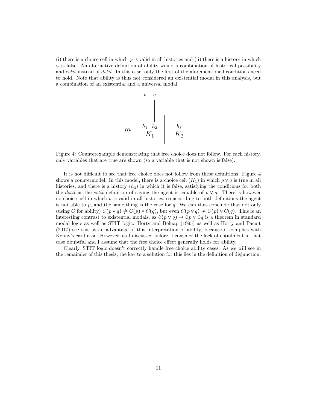(i) there is a choice cell in which  $\varphi$  is valid in all histories and (ii) there is a history in which  $\varphi$  is false. An alternative definition of ability would a combination of historical possibility and *cstit* instead of *dstit*. In this case, only the first of the aforementioned conditions need to hold. Note that ability is thus not considered an existential modal in this analysis, but a combination of an existential and a universal modal.



Figure 4: Counterexample demonstrating that free choice does not follow. For each history, only variables that are true are shown (so a variable that is not shown is false).

It is not difficult to see that free choice does not follow from these definitions. Figure 4 shows a countermodel. In this model, there is a choice cell  $(K_1)$  in which  $p \vee q$  is true in all histories, and there is a history  $(h_3)$  in which it is false, satisfying the conditions for both the dstit as the cstit definition of saying the agent is capable of  $p \vee q$ . There is however no choice cell in which  $p$  is valid in all histories, so according to both definitions the agent is not able to  $p$ , and the same thing is the case for  $q$ . We can thus conclude that not only (using C for ability)  $C(p \vee q) \nrightarrow C(p) \wedge C(q)$ , but even  $C(p \vee q) \nrightarrow C(p) \vee C(q)$ . This is an interesting contrast to existential modals, as  $\Diamond(p \lor q) \to \Diamond p \lor \Diamond q$  is a theorem in standard modal logic as well as STIT logic. Horty and Belnap (1995) as well as Horty and Pacuit (2017) see this as an advantage of this interpretation of ability, because it complies with Kenny's card case. However, as I discussed before, I consider the lack of entailment in that case doubtful and I assume that the free choice effect generally holds for ability.

Clearly, STIT logic doesn't correctly handle free choice ability cases. As we will see in the remainder of this thesis, the key to a solution for this lies in the definition of disjunction.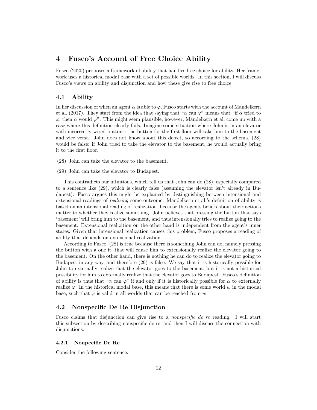## 4 Fusco's Account of Free Choice Ability

Fusco (2020) proposes a framework of ability that handles free choice for ability. Her framework uses a historical modal base with a set of possible worlds. In this section, I will discuss Fusco's views on ability and disjunction and how these give rise to free choice.

#### 4.1 Ability

In her discussion of when an agent  $\alpha$  is able to  $\varphi$ , Fusco starts with the account of Mandelkern et al. (2017). They start from the idea that saying that " $\alpha$  can  $\varphi$ " means that "if  $\alpha$  tried to  $\varphi$ , then  $\alpha$  would  $\varphi$ ". This might seem plausible, however, Mandelkern et al. come up with a case where this definition clearly fails. Imagine some situation where John is in an elevator with incorrectly wired buttons: the button for the first floor will take him to the basement and vice versa. John does not know about this defect, so according to the schema, (28) would be false: if John tried to take the elevator to the basement, he would actually bring it to the first floor.

- (28) John can take the elevator to the basement.
- (29) John can take the elevator to Budapest.

This contradicts our intuitions, which tell us that John can do (28), especially compared to a sentence like (29), which is clearly false (assuming the elevator isn't already in Budapest). Fusco argues this might be explained by distinguishing between intensional and extensional readings of *realizing* some outcome. Mandelkern et al.'s definition of ability is based on an intensional reading of realization, because the agents beliefs about their actions matter to whether they realize something. John believes that pressing the button that says 'basement' will bring him to the basement, and thus intensionally tries to realize going to the basement. Extensional realizition on the other hand is independent from the agent's inner states. Given that intensional realization causes this problem, Fusco proposes a reading of ability that depends on extensional realization.

According to Fusco, (28) is true because there is something John can do, namely pressing the button with a one it, that will cause him to extensionally realize the elevator going to the basement. On the other hand, there is nothing he can do to realize the elevator going to Budapest in any way, and therefore (29) is false. We say that it is historically possible for John to externally realize that the elevator goes to the basement, but it is not a historical possibility for him to externally realize that the elevator goes to Budapest. Fusco's definition of ability is thus that " $\alpha$  can  $\varphi$ " if and only if it is historically possible for  $\alpha$  to externally realize  $\varphi$ . In the historical modal base, this means that there is some world w in the modal base, such that  $\varphi$  is valid in all worlds that can be reached from w.

#### 4.2 Nonspecific De Re Disjunction

Fusco claims that disjunction can give rise to a *nonspecific de re* reading. I will start this subsection by describing nonspecific de re, and then I will discuss the connection with disjunctions.

#### 4.2.1 Nonpecific De Re

Consider the following sentence: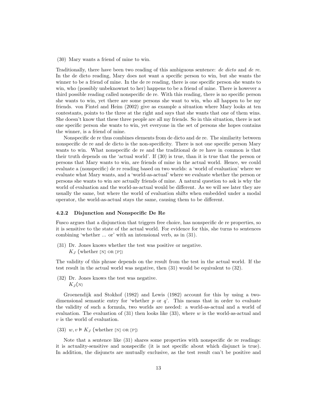(30) Mary wants a friend of mine to win.

Traditionally, there have been two reading of this ambiguous sentence: de dicto and de re. In the de dicto reading, Mary does not want a specific person to win, but she wants the winner to be a friend of mine. In the de re reading, there is one specific person she wants to win, who (possibly unbeknownst to her) happens to be a friend of mine. There is however a third possible reading called nonspecific de re. With this reading, there is no specific person she wants to win, yet there are some persons she want to win, who all happen to be my friends. von Fintel and Heim (2002) give as example a situation where Mary looks at ten contestants, points to the three at the right and says that she wants that one of them wins. She doesn't know that these three people are all my friends. So in this situation, there is not one specific person she wants to win, yet everyone in the set of persons she hopes contains the winner, is a friend of mine.

Nonspecific de re thus combines elements from de dicto and de re. The similarity between nonspecific de re and de dicto is the non-specificity. There is not one specific person Mary wants to win. What nonspecific de re and the traditional de re have in common is that their truth depends on the 'actual world'. If (30) is true, than it is true that the person or persons that Mary wants to win, are friends of mine in the actual world. Hence, we could evaluate a (nonspecific) de re reading based on two worlds: a 'world of evaluation' where we evaluate what Mary wants, and a 'world-as-actual' where we evaluate whether the person or persons she wants to win are actually friends of mine. A natural question to ask is why the world of evaluation and the world-as-actual would be different. As we will see later they are usually the same, but where the world of evaluation shifts when embedded under a modal operator, the world-as-actual stays the same, causing them to be different.

#### 4.2.2 Disjunction and Nonspecific De Re

Fusco argues that a disjunction that triggers free choice, has nonspecific de re properties, so it is sensitive to the state of the actual world. For evidence for this, she turns to sentences combining 'whether ... or' with an intensional verb, as in (31).

(31) Dr. Jones knows whether the test was positive or negative.  $K_I$  (whether [N] OR [P])

The validity of this phrase depends on the result from the test in the actual world. If the test result in the actual world was negative, then (31) would be equivalent to (32).

(32) Dr. Jones knows the test was negative.  $K_J(N)$ 

Groenendijk and Stokhof (1982) and Lewis (1982) account for this by using a twodimensional semantic entry for 'whether  $p$  or  $q$ '. This means that in order to evaluate the validity of such a formula, two worlds are needed: a world-as-actual and a world of evaluation. The evaluation of  $(31)$  then looks like  $(33)$ , where w is the world-as-actual and v is the world of evaluation.

(33)  $w, v \models K_J$  (whether [N] OR [P])

Note that a sentence like (31) shares some properties with nonspecific de re readings: it is actuality-sensitive and nonspecific (it is not specific about which disjunct is true). In addition, the disjuncts are mutually exclusive, as the test result can't be positive and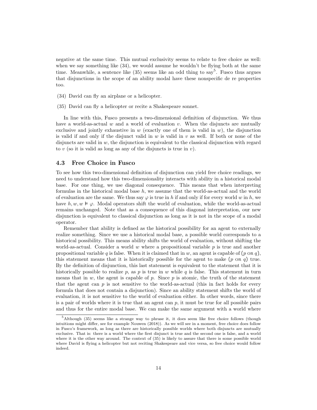negative at the same time. This mutual exclusivity seems to relate to free choice as well: when we say something like (34), we would assume he wouldn't be flying both at the same time. Meanwhile, a sentence like  $(35)$  seems like an odd thing to say<sup>5</sup>. Fusco thus argues that disjunctions in the scope of an ability modal have these nonspecific de re properties too.

- (34) David can fly an airplane or a helicopter.
- (35) David can fly a helicopter or recite a Shakespeare sonnet.

In line with this, Fusco presents a two-dimensional definition of disjunction. We thus have a world-as-actual w and a world of evaluation v. When the disjuncts are mutually exclusive and jointly exhaustive in  $w$  (exactly one of them is valid in  $w$ ), the disjunction is valid if and only if the disjunct valid in  $w$  is valid in  $v$  as well. If both or none of the disjuncts are valid in  $w$ , the disjunction is equivalent to the classical disjunction with regard to v (so it is valid as long as any of the disjuncts is true in v).

#### 4.3 Free Choice in Fusco

To see how this two-dimensional definition of disjunction can yield free choice readings, we need to understand how this two-dimensionality interacts with ability in a historical modal base. For one thing, we use diagonal consequence. This means that when interpreting formulas in the historical modal base  $h$ , we assume that the world-as-actual and the world of evaluation are the same. We thus say  $\varphi$  is true in h if and only if for every world w in h, we have  $h, w, w \models \varphi$ . Modal operators shift the world of evaluation, while the world-as-actual remains unchanged. Note that as a consequence of this diagonal interpretation, our new disjunction is equivalent to classical disjunction as long as it is not in the scope of a modal operator.

Remember that ability is defined as the historical possibility for an agent to externally realize something. Since we use a historical modal base, a possible world corresponds to a historical possibility. This means ability shifts the world of evaluation, without shifting the world-as-actual. Consider a world  $w$  where a propositional variable  $p$  is true and another propositional variable q is false. When it is claimed that in w, an agent is capable of  $(p \text{ or } q)$ , this statement means that it is historically possible for the agent to make  $(p \text{ or } q)$  true. By the definition of disjunction, this last statement is equivalent to the statement that it is historically possible to realize p, as p is true in w while q is false. This statement in turn means that in  $w$ , the agent is capable of  $p$ . Since  $p$  is atomic, the truth of the statement that the agent can  $p$  is not sensitive to the world-as-actual (this in fact holds for every formula that does not contain a disjunction). Since an ability statement shifts the world of evaluation, it is not sensitive to the world of evaluation either. In other words, since there is a pair of worlds where it is true that an agent can  $p$ , it must be true for all possible pairs and thus for the entire modal base. We can make the same argument with a world where

 $5$ Although (35) seems like a strange way to phrase it, it does seem like free choice follows (though intuitions might differ, see for example Nouwen (2018)). As we will see in a moment, free choice does follow in Fusco's framework, as long as there are historically possible worlds where both disjuncts are mutually exclusive. That is: there is a world where the first disjunct is true and the second one is false, and a world where it is the other way around. The context of  $(35)$  is likely to assure that there is some possible world where David is flying a helicopter but not reciting Shakespeare and vice versa, so free choice would follow indeed.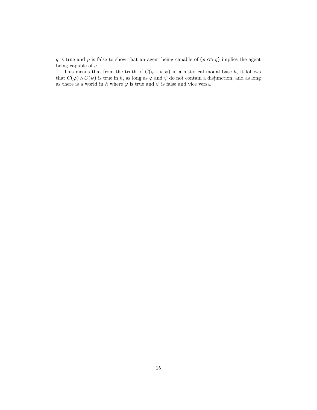$q$  is true and  $p$  is false to show that an agent being capable of  $(p \text{ or } q)$  implies the agent being capable of q.

This means that from the truth of  $C(\varphi \text{ or } \psi)$  in a historical modal base h, it follows that  $C(\varphi) \wedge C(\psi)$  is true in h, as long as  $\varphi$  and  $\psi$  do not contain a disjunction, and as long as there is a world in h where  $\varphi$  is true and  $\psi$  is false and vice versa.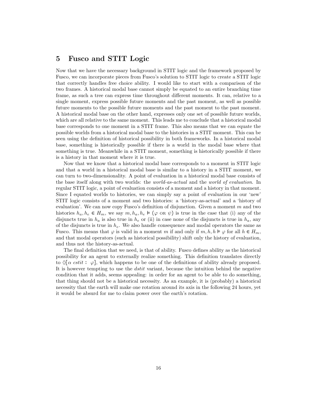## 5 Fusco and STIT Logic

Now that we have the necessary background in STIT logic and the framework proposed by Fusco, we can incorporate pieces from Fusco's solution to STIT logic to create a STIT logic that correctly handles free choice ability. I would like to start with a comparison of the two frames. A historical modal base cannot simply be equated to an entire branching time frame, as such a tree can express time throughout different moments. It can, relative to a single moment, express possible future moments and the past moment, as well as possible future moments to the possible future moments and the past moment to the past moment. A historical modal base on the other hand, expresses only one set of possible future worlds, which are all relative to the same moment. This leads me to conclude that a historical modal base corresponds to one moment in a STIT frame. This also means that we can equate the possible worlds from a historical modal base to the histories in a STIT moment. This can be seen using the definition of historical possibility in both frameworks. In a historical modal base, something is historically possible if there is a world in the modal base where that something is true. Meanwhile in a STIT moment, something is historically possible if there is a history in that moment where it is true.

Now that we know that a historical modal base corresponds to a moment in STIT logic and that a world in a historical modal base is similar to a history in a STIT moment, we can turn to two-dimensionality. A point of evaluation in a historical modal base consists of the base itself along with two worlds: the *world-as-actual* and the *world of evaluation*. In regular STIT logic, a point of evaluation consists of a moment and a history in that moment. Since I equated worlds to histories, we can simply say a point of evaluation in our 'new' STIT logic consists of a moment and two histories: a 'history-as-actual' and a 'history of evaluation'. We can now copy Fusco's definition of disjunction. Given a moment  $m$  and two histories  $h_a, h_e \in H_m$ , we say  $m, h_a, h_e \models (\varphi \text{ on } \psi)$  is true in the case that (i) any of the disjuncts true in  $h_a$  is also true in  $h_e$  or (ii) in case none of the disjuncts is true in  $h_a$ , any of the disjuncts is true in  $h_e$ . We also handle consequence and modal operators the same as Fusco. This means that  $\varphi$  is valid in a moment m if and only if  $m, h, h \models \varphi$  for all  $h \in H_m$ , and that modal operators (such as historical possibility) shift only the history of evaluation, and thus not the history-as-actual.

The final definition that we need, is that of ability. Fusco defines ability as the historical possibility for an agent to externally realize something. This definition translates directly to  $\Diamond \alpha$  cstit:  $\varphi$ , which happens to be one of the definitions of ability already proposed. It is however tempting to use the *dstit* variant, because the intuition behind the negative condition that it adds, seems appealing: in order for an agent to be able to do something, that thing should not be a historical necessity. As an example, it is (probably) a historical necessity that the earth will make one rotation around its axis in the following 24 hours, yet it would be absurd for me to claim power over the earth's rotation.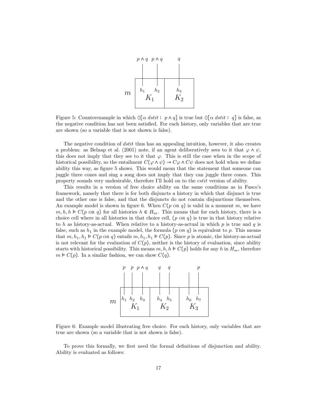

Figure 5: Counterexample in which  $\Diamond[\alpha \text{ d}stit : p \land q]$  is true but  $\Diamond[\alpha \text{ d}stit : q]$  is false, as the negative condition has not been satisfied. For each history, only variables that are true are shown (so a variable that is not shown is false).

The negative condition of *dstit* thus has an appealing intuition, however, it also creates a problem: as Belnap et al. (2001) note, if an agent deliberatively sees to it that  $\varphi \wedge \psi$ , this does not imply that they see to it that  $\varphi$ . This is still the case when in the scope of historical possibility, so the entailment  $C(\varphi \wedge \psi) \rightarrow C\varphi \wedge C\psi$  does not hold when we define ability this way, as figure 5 shows. This would mean that the statement that someone can juggle three cones and sing a song does not imply that they can juggle three cones. This property sounds very undesirable, therefore I'll hold on to the cstit version of ability.

This results in a version of free choice ability on the same conditions as in Fusco's framework, namely that there is for both disjuncts a history in which that disjunct is true and the other one is false, and that the disjuncts do not contain disjunctions themselves. An example model is shown in figure 6. When  $C(p \text{ or } q)$  is valid in a moment m, we have  $m, h, h \in C(p \text{ or } q)$  for all histories  $h \in H_m$ . This means that for each history, there is a choice cell where in all histories in that choice cell,  $(p \text{ or } q)$  is true in that history relative to h as history-as-actual. When relative to a history-as-actual in which  $p$  is true and  $q$  is false, such as  $h_1$  in the example model, the formula (p or q) is equivalent to p. This means that  $m, h_1, h_1 \models C(p \text{ or } q)$  entails  $m, h_1, h_1 \models C(p)$ . Since p is atomic, the history-as-actual is not relevant for the evaluation of  $C(p)$ , neither is the history of evaluation, since ability starts with historical possibility. This means  $m, h, h \in C(p)$  holds for any h in  $H_m$ , therefore  $m \models C(p)$ . In a similar fashion, we can show  $C(q)$ .



Figure 6: Example model illustrating free choice. For each history, only variables that are true are shown (so a variable that is not shown is false).

To prove this formally, we first need the formal definitions of disjunction and ability. Ability is evaluated as follows: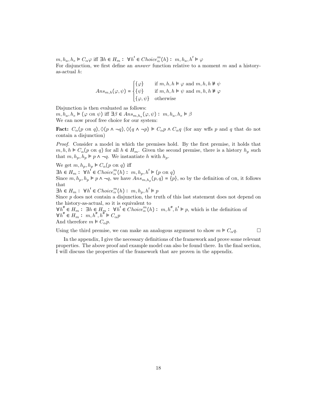$m, h_a, h_e \models C_\alpha \varphi$  iff  $\exists h \in H_m: \forall h' \in Choice^m_\alpha(h): m, h_a, h' \models \varphi$ For disjunction, we first define an *answer* function relative to a moment  $m$  and a historyas-actual h:

$$
Ans_{m,h}(\varphi,\psi)=\begin{cases} \{\varphi\} &\text{if } m,h,h \models \varphi \text{ and } m,h,h \not \models \psi \\ \{\psi\} &\text{if } m,h,h \models \psi \text{ and } m,h,h \not \models \varphi \\ \{\varphi,\psi\} &\text{otherwise} \end{cases}
$$

Disjunction is then evaluated as follows:

 $m, h_a, h_e \models (\varphi \text{ or } \psi) \text{ iff } \exists \beta \in Ans_{m,h_a}(\varphi, \psi) : m, h_a, h_e \models \beta$ We can now proof free choice for our system:

**Fact:**  $C_{\alpha}(p \text{ or } q)$ ,  $\Diamond (p \land \neg q)$ ,  $\Diamond (q \land \neg p) \models C_{\alpha}p \land C_{\alpha}q$  (for any wffs p and q that do not contain a disjunction)

Proof. Consider a model in which the premises hold. By the first premise, it holds that  $m, h, h \models C_{\alpha}(p \text{ or } q)$  for all  $h \in H_m$ . Given the second premise, there is a history  $h_p$  such that  $m, h_p, h_p \models p \land \neg q$ . We instantiate h with  $h_p$ .

We get  $m, h_p, h_p \models C_\alpha(p \text{ or } q)$  iff  $\exists h \in H_m$ :  $\forall h' \in Choice_m^m(h)$ :  $m, h_p, h' \models (p \text{ or } q)$ Since  $m, h_p, h_p \models p \land \neg q$ , we have  $Ans_{m,h_p}(p,q) = \{p\}$ , so by the definition of OR, it follows that

 $\exists h \in H_m: \ \forall h' \in Choice^m_{\alpha}(h): m, h_p, h' \models p$ 

Since p does not contain a disjunction, the truth of this last statement does not depend on the history-as-actual, so it is equivalent to

 $\forall h'' \in H_m: \exists h \in H_m: \forall h' \in Choice^m_{\alpha}(h): m, h'', h' \models p$ , which is the definition of  $\forall h'' \in H_m: m, h'', h'' \models C_{\alpha}p$ And therefore  $m \models C_{\alpha} p$ .

Using the third premise, we can make an analogous argument to show  $m \models C_{\alpha} q$ .

In the appendix, I give the necessary definitions of the framework and prove some relevant properties. The above proof and example model can also be found there. In the final section, I will discuss the properties of the framework that are proven in the appendix.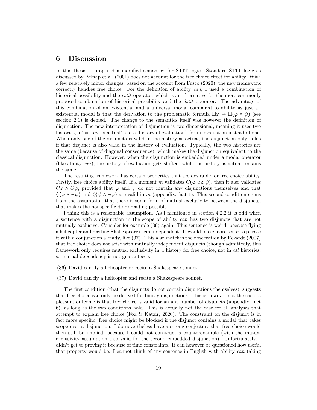## 6 Discussion

In this thesis, I proposed a modified semantics for STIT logic. Standard STIT logic as discussed by Belnap et al. (2001) does not account for the free choice effect for ability. With a few relatively minor changes, based on the account from Fusco (2020), the new framework correctly handles free choice. For the definition of ability can, I used a combination of historical possibility and the *cstit* operator, which is an alternative for the more commonly proposed combination of historical possibility and the dstit operator. The advantage of this combination of an existential and a universal modal compared to ability as just an existential modal is that the derivation to the problematic formula  $\Box \varphi \rightarrow \Box (\varphi \land \psi)$  (see section 2.1) is denied. The change to the semantics itself was however the definition of disjunction. The new interpretation of disjunction is two-dimensional, meaning it uses two histories, a 'history-as-actual' and a 'history of evaluation', for its evaluation instead of one. When only one of the disjuncts is valid in the history-as-actual, the disjunction only holds if that disjunct is also valid in the history of evaluation. Typically, the two histories are the same (because of diagonal consequence), which makes the disjunction equivalent to the classical disjunction. However, when the disjunction is embedded under a modal operator (like ability  $can$ ), the history of evaluation gets shifted, while the history-as-actual remains the same.

The resulting framework has certain properties that are desirable for free choice ability. Firstly, free choice ability itself. If a moment m validates  $C(\varphi \text{ on } \psi)$ , then it also validates  $C\varphi \wedge C\psi$ , provided that  $\varphi$  and  $\psi$  do not contain any disjunctions themselves and that  $\Diamond(\varphi \land \neg \psi)$  and  $\Diamond(\psi \land \neg \varphi)$  are valid in m (appendix, fact 1). This second condition stems from the assumption that there is some form of mutual exclusivity between the disjuncts, that makes the nonspecific de re reading possible.

I think this is a reasonable assumption. As I mentioned in section 4.2.2 it is odd when a sentence with a disjunction in the scope of ability can has two disjuncts that are not mutually exclusive. Consider for example (36) again. This sentence is weird, because flying a helicopter and reciting Shakespeare seem independent. It would make more sense to phrase it with a conjunction already, like (37). This also matches the observation by Eckardt (2007) that free choice does not arise with mutually independent disjuncts (though admittedly, this framework only requires mutual exclusivity in  $a$  history for free choice, not in  $all$  histories, so mutual dependency is not guaranteed).

- (36) David can fly a helicopter or recite a Shakespeare sonnet.
- (37) David can fly a helicopter and recite a Shakespeare sonnet.

The first condition (that the disjuncts do not contain disjunctions themselves), suggests that free choice can only be derived for binary disjunctions. This is however not the case: a pleasant outcome is that free choice is valid for an any number of disjuncts (appendix, fact 6), as long as the two conditions hold. This is actually not the case for all analyses that attempt to explain free choice (Fox  $&$  Katzir, 2020). The constraint on the disjunct is in fact more specific: free choice might be blocked if the disjunct contains a modal that takes scope over a disjunction. I do nevertheless have a strong conjecture that free choice would then still be implied, because I could not construct a counterexample (with the mutual exclusivity assumption also valid for the second embedded disjunction). Unfortunately, I didn't get to proving it because of time constraints. It can however be questioned how useful that property would be: I cannot think of any sentence in English with ability can taking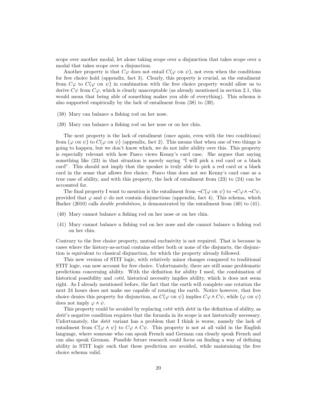scope over another modal, let alone taking scope over a disjunction that takes scope over a modal that takes scope over a disjunction.

Another property is that  $C\varphi$  does not entail  $C(\varphi \text{ or } \psi)$ , not even when the conditions for free choice hold (appendix, fact 3). Clearly, this property is crucial, as the entailment from  $C\varphi$  to  $C(\varphi \text{ or } \psi)$  in combination with the free choice property would allow us to derive  $C\psi$  from  $C\varphi$ , which is clearly unacceptable (as already mentioned in section 2.1, this would mean that being able of something makes you able of everything). This schema is also supported empirically by the lack of entailment from (38) to (39).

- (38) Mary can balance a fishing rod on her nose.
- (39) Mary can balance a fishing rod on her nose or on her chin.

The next property is the lack of entailment (once again, even with the two conditions) from  $(\varphi \text{ or } \psi)$  to  $C(\varphi \text{ or } \psi)$  (appendix, fact 2). This means that when one of two things is going to happen, but we don't know which, we do not infer ability over this. This property is especially relevant with how Fusco views Kenny's card case. She argues that saying something like (23) in that situation is merely saying "I will pick a red card or a black card". This should not imply that the speaker is truly able to pick a red card or a black card in the sense that allows free choice. Fusco thus does not see Kenny's card case as a true case of ability, and with this property, the lack of entailment from (23) to (24) can be accounted for.

The final property I want to mention is the entailment from  $\neg C(\varphi \text{ or } \psi)$  to  $\neg C\varphi \land \neg C\psi$ , provided that  $\varphi$  and  $\psi$  do not contain disjunctions (appendix, fact 4). This schema, which Barker (2010) calls *double prohibition*, is demonstrated by the entailment from (40) to (41).

- (40) Mary cannot balance a fishing rod on her nose or on her chin.
- (41) Mary cannot balance a fishing rod on her nose and she cannot balance a fishing rod on her chin.

Contrary to the free choice property, mutual exclusivity is not required. That is because in cases where the history-as-actual contains either both or none of the disjuncts, the disjunction is equivalent to classical disjunction, for which the property already followed.

This new version of STIT logic, with relatively minor changes compared to traditional STIT logic, can now account for free choice. Unfortunately, there are still some problematic predictions concerning ability. With the definition for ability I used, the combination of historical possibility and *cstit*, historical necessity implies ability, which is does not seem right. As I already mentioned before, the fact that the earth will complete one rotation the next 24 hours does not make me capable of rotating the earth. Notice however, that free choice denies this property for disjunction, as  $C(\varphi \text{ or } \psi)$  implies  $C\varphi \wedge C\psi$ , while  $(\varphi \text{ or } \psi)$ does not imply  $\varphi \wedge \psi$ .

This property could be avoided by replacing *cstit* with *dstit* in the definition of ability, as dstit's negative condition requires that the formula in its scope is not historically necessary. Unfortunately, the *dstit* variant has a problem that I think is worse, namely the lack of entailment from  $C(\varphi \wedge \psi)$  to  $C\varphi \wedge C\psi$ . This property is not at all valid in the English language, where someone who can speak French and German can clearly speak French and can also speak German. Possible future research could focus on finding a way of defining ability in STIT logic such that these prediction are avoided, while maintaining the free choice schema valid.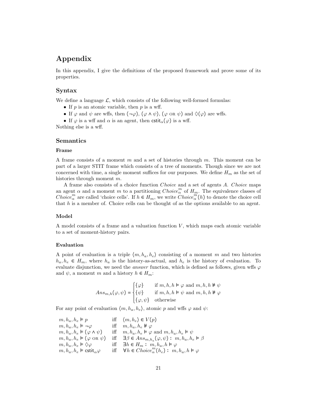## Appendix

In this appendix, I give the definitions of the proposed framework and prove some of its properties.

#### Syntax

We define a language  $\mathcal{L}$ , which consists of the following well-formed formulas:

- If  $p$  is an atomic variable, then  $p$  is a wff.
- If  $\varphi$  and  $\psi$  are wffs, then  $(\neg \varphi)$ ,  $(\varphi \wedge \psi)$ ,  $(\varphi \vee \psi)$  and  $\Diamond(\varphi)$  are wffs.
- If  $\varphi$  is a wff and  $\alpha$  is an agent, then  $\text{cstit}_{\alpha}(\varphi)$  is a wff.

Nothing else is a wff.

#### Semantics

#### Frame

A frame consists of a moment  $m$  and a set of histories through  $m$ . This moment can be part of a larger STIT frame which consists of a tree of moments. Though since we are not concerned with time, a single moment suffices for our purposes. We define  $H_m$  as the set of histories through moment m.

A frame also consists of a choice function Choice and a set of agents A. Choice maps an agent  $\alpha$  and a moment m to a partitioning  $Choice^m_{\alpha}$  of  $H_m$ . The equivalence classes of Choice<sup>m</sup> are called 'choice cells'. If  $h \in H_m$ , we write  $\widehat{Choice}_{\alpha}^{m}(h)$  to denote the choice cell that  $h$  is a member of. Choice cells can be thought of as the options available to an agent.

#### Model

A model consists of a frame and a valuation function  $V$ , which maps each atomic variable to a set of moment-history pairs.

#### Evaluation

A point of evaluation is a triple  $\langle m, h_a, h_e \rangle$  consisting of a moment m and two histories  $h_a, h_e \in H_m$ , where  $h_a$  is the history-as-actual, and  $h_e$  is the history of evaluation. To evaluate disjunction, we need the *answer* function, which is defined as follows, given wffs  $\varphi$ and  $\psi$ , a moment m and a history  $h \in H_m$ :

$$
Ans_{m,h}(\varphi,\psi)=\begin{cases} \{\varphi\} &\text{if } m,h,h \models \varphi \text{ and } m,h,h \not \models \psi \\ \{\psi\} &\text{if } m,h,h \models \psi \text{ and } m,h,h \not \models \varphi \\ \{\varphi,\psi\} &\text{otherwise} \end{cases}
$$

For any point of evaluation  $\langle m, h_a, h_e \rangle$ , atomic p and wffs  $\varphi$  and  $\psi$ :

 $\begin{array}{llll} m, h_a, h_e \models p & \quad \quad & \mbox{iff} \quad \langle m, h_e \rangle \in V(p) \\ m, h_a, h_e \models \neg \varphi & \quad \quad & \mbox{iff} \quad m, h_a, h_e \not \models \varphi \end{array}$  $m, h_a, h_e \models \neg \varphi$  iff  $m, h_a, h_e \not\models \varphi$ <br>  $m, h_a, h_e \models (\varphi \land \psi)$  iff  $m, h_a, h_e \models \varphi$ iff  $m, h_a, h_e \models \varphi$  and  $m, h_a, h_e \models \psi$  $m, h_a, h_e \models (\varphi \text{ or } \psi) \text{ iff } \exists \beta \in Ans_{m,h_a}(\varphi, \psi) : m, h_a, h_e \models \beta$  $m, h_a, h_e \models \Diamond \varphi$  iff  $\exists h \in H_m : m, h_a, h \models \varphi$  $m, h_a, h_e \models \text{cstit}_{\alpha} \varphi$  iff  $\forall h \in Choice_{\alpha}^{m}(h_e) : m, h_a, h \models \varphi$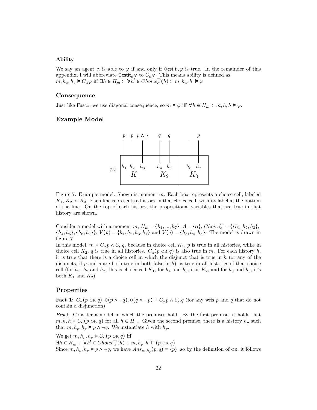#### Ability

We say an agent  $\alpha$  is able to  $\varphi$  if and only if  $\Diamond \mathsf{cstit}_\alpha \varphi$  is true. In the remainder of this appendix, I will abbreviate  $\Diamond \textsf{cstit}_{\alpha} \varphi$  to  $C_{\alpha} \varphi$ . This means ability is defined as:  $m, h_a, h_e \models C_\alpha \varphi$  iff  $\exists h \in H_m : \forall h' \in Choice^m_\alpha(h) : m, h_a, h' \models \varphi$ 

#### Consequence

Just like Fusco, we use diagonal consequence, so  $m \models \varphi$  iff  $\forall h \in H_m : m, h, h \models \varphi$ .

#### Example Model



Figure 7: Example model. Shown is moment m. Each box represents a choice cell, labeled  $K_1, K_2$  or  $K_3$ . Each line represents a history in that choice cell, with its label at the bottom of the line. On the top of each history, the propositional variables that are true in that history are shown.

Consider a model with a moment  $m, H_m = \{h_1, ..., h_7\}, A = \{\alpha\}, Choice_{\alpha}^m = \{\{h_1, h_2, h_3\},\}$  ${h_4, h_5}, {h_6, h_7}, \ V(p) = {h_1, h_2, h_3, h_7}$  and  $V(q) = {h_3, h_4, h_5}.$  The model is drawn in figure 7.

In this model,  $m \in C_\alpha p \wedge C_\alpha q$ , because in choice cell  $K_1$ , p is true in all histories, while in choice cell  $K_2$ , q is true in all histories.  $C_{\alpha}(p \text{ or } q)$  is also true in m. For each history h, it is true that there is a choice cell in which the disjunct that is true in  $h$  (or any of the disjuncts, if p and q are both true in both false in  $h$ ), is true in all histories of that choice cell (for  $h_1$ ,  $h_2$  and  $h_7$ , this is choice cell  $K_1$ , for  $h_4$  and  $h_5$ , it is  $K_2$ , and for  $h_3$  and  $h_6$ , it's both  $K_1$  and  $K_2$ ).

#### Properties

**Fact 1:**  $C_{\alpha}(p \text{ or } q), \Diamond(p \land \neg q), \Diamond(q \land \neg p) \models C_{\alpha}p \land C_{\alpha}q$  (for any wffs p and q that do not contain a disjunction)

Proof. Consider a model in which the premises hold. By the first premise, it holds that  $m, h, h \models C_{\alpha}(p \text{ or } q)$  for all  $h \in H_m$ . Given the second premise, there is a history  $h_p$  such that  $m, h_p, h_p \models p \land \neg q$ . We instantiate h with  $h_p$ .

We get  $m, h_p, h_p \models C_\alpha(p \text{ or } q)$  iff  $\exists h \in H_m: \forall h^l \in Choice^m_{\alpha}(h): m, h_p, h' \models (p \text{ or } q)$ Since  $m, h_p, h_p \models p \land \neg q$ , we have  $Ans_{m,h_p}(p,q) = \{p\}$ , so by the definition of OR, it follows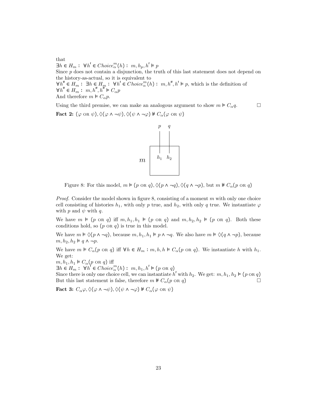that  $\exists h \in H_m: \ \forall h' \in Choice^m_{\alpha}(h): m, h_p, h' \models p$ Since p does not contain a disjunction, the truth of this last statement does not depend on the history-as-actual, so it is equivalent to  $\forall h'' \in H_m: \exists h \in H_m: \forall h' \in Choice^m_{\alpha}(h): m, h'', h' \models p$ , which is the definition of  $\forall h'' \in H_m: m, h'', h'' \models C_{\alpha}p$ And therefore  $m \models C_{\alpha} p$ .

Using the third premise, we can make an analogous argument to show  $m \models C_{\alpha} q$ . Fact 2:  $(\varphi \text{ or } \psi), \Diamond(\varphi \land \neg \psi), \Diamond(\psi \land \neg \varphi) \nVdash C_{\alpha}(\varphi \text{ or } \psi)$ 



Figure 8: For this model,  $m \models (p \text{ or } q), \Diamond (p \land \neg q), \Diamond (q \land \neg p)$ , but  $m \not\models C_{\alpha}(p \text{ or } q)$ 

*Proof.* Consider the model shown in figure 8, consisting of a moment  $m$  with only one choice cell consisting of histories  $h_1$ , with only p true, and  $h_2$ , with only q true. We instantiate  $\varphi$ with  $p$  and  $\psi$  with  $q$ .

We have  $m \models (p \text{ or } q)$  iff  $m, h_1, h_1 \models (p \text{ or } q)$  and  $m, h_2, h_2 \models (p \text{ or } q)$ . Both these conditions hold, so  $(p \nTheta q)$  is true in this model.

We have  $m \models \Diamond (p \land \neg q)$ , because  $m, h_1, h_1 \models p \land \neg q$ . We also have  $m \models \Diamond (q \land \neg p)$ , because  $m, h_2, h_2 \models q \land \neg p.$ 

We have  $m \models C_{\alpha}(p \text{ on } q)$  iff  $\forall h \in H_m : m, h, h \models C_{\alpha}(p \text{ on } q)$ . We instantiate h with  $h_1$ . We get:

 $m, h_1, h_1 \models C_\alpha(p \text{ or } q)$  iff

 $\exists h \in H_m: \forall h' \in Choice_{\alpha}^{m}(h): m, h_1, h' \models (p \in R)$ 

Since there is only one choice cell, we can instantiate h' with  $h_2$ . We get:  $m, h_1, h_2 \models (p \text{ or } q)$ But this last statement is false, therefore  $m \not\vdash C_{\alpha}(p \text{ or } q)$ 

Fact 3:  $C_{\alpha}\varphi, \Diamond(\varphi \wedge \neg \psi), \Diamond(\psi \wedge \neg \varphi) \nVdash C_{\alpha}(\varphi \vee \psi)$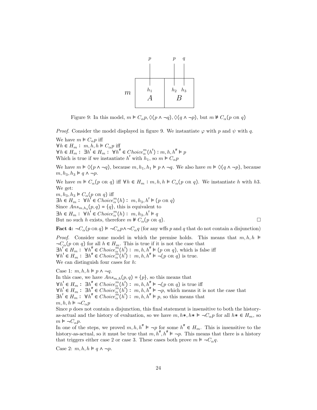

Figure 9: In this model,  $m \models C_{\alpha} p, \Diamond (p \land \neg q), \Diamond (q \land \neg p)$ , but  $m \not\models C_{\alpha} (p \text{ or } q)$ 

*Proof.* Consider the model displayed in figure 9. We instantiate  $\varphi$  with p and  $\psi$  with q.

We have  $m \models C_{\alpha} p$  iff  $\forall h \in H_m: m, h, h \models C_{\alpha} p$  iff  $\forall h \in H_m: \exists h' \in H_m: \forall h'' \in Choice^m_{\alpha}(h'): m, h, h'' \models p$ Which is true if we instantiate  $h'$  with  $h_1$ , so  $m \models C_{\alpha}p$ 

We have  $m \models \Diamond (p \land \neg q)$ , because  $m, h_1, h_1 \models p \land \neg q$ . We also have  $m \models \Diamond (q \land \neg p)$ , because  $m, h_3, h_3 \models q \land \neg p.$ 

We have  $m \models C_{\alpha}(p \text{ or } q)$  iff  $\forall h \in H_m : m, h, h \models C_{\alpha}(p \text{ or } q)$ . We instantiate h with h3. We get:  $m, h_3, h_3 \models C_\alpha(p \text{ or } q)$  iff  $\exists h \in H_m: \forall h' \in Choice_{\alpha}^{m}(h): m, h_3, h' \models (p \in R)$ Since  $Ans_{m,h_3}(p,q) = \{q\}$ , this is equivalent to  $\exists h \in H_m : \forall h' \in Choice^m_{\alpha}(h) : m, h_3, h' \models q$ But no such h exists, therefore  $m \not\vdash C_{\alpha}(p \text{ on } q)$ .

Fact 4:  $\neg C_{\alpha}(p \lor q) \models \neg C_{\alpha}p \land \neg C_{\alpha}q$  (for any wffs p and q that do not contain a disjunction)

*Proof.* Consider some model in which the premise holds. This means that  $m, h, h \models$  $\neg C_{\alpha}(p \text{ or } q)$  for all  $h \in H_m$ . This is true if it is not the case that  $\exists h' \in H_m : \forall h'' \in Choice_{\alpha}^{m}(h') : m, h, h'' \models (p \text{ or } q)$ , which is false iff  $\forall h' \in H_m : \exists h'' \in Choice^m_{\alpha}(h') : m, h, h'' \models \neg (p \text{ or } q) \text{ is true.}$ We can distinguish four cases for  $h$ :

Case 1:  $m, h, h \models p \land \neg q$ . In this case, we have  $Ans_{m,h}(p,q) = \{p\}$ , so this means that  $\forall h' \in H_m: \exists h'' \in Choice^m_{\alpha}(h'): m, h, h'' \models \neg(p \text{ or } q) \text{ is true iff }$  $\forall h' \in H_m : \exists h'' \in Choice^m_{\alpha}(h') : m, h, h'' \models \neg p$ , which means it is not the case that  $\exists h' \in H_m: \forall h'' \in Choice_{\alpha}^{m}(h'): m, h, h'' \models p$ , so this means that  $m, h, h \models \neg C_{\alpha} p$ 

Since p does not contain a disjunction, this final statement is insensitive to both the historyas-actual and the history of evaluation, so we have  $m, h*, h* \models \neg C_{\alpha} p$  for all  $h* \in H_m$ , so  $m \models \neg C_{\alpha} p.$ 

In one of the steps, we proved  $m, h, h'' \models \neg p$  for some  $h'' \in H_m$ . This is insensitive to the history-as-actual, so it must be true that  $m, h''$ ,  $h'' \vDash \neg p$ . This means that there is a history that triggers either case 2 or case 3. These cases both prove  $m \models \neg C_{\alpha} q$ .

Case 2:  $m, h, h \models q \land \neg p$ .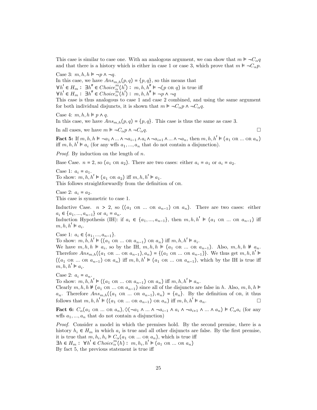This case is similar to case one. With an analogous argument, we can show that  $m \models \neg C_{\alpha} q$ and that there is a history which is either in case 1 or case 3, which prove that  $m \models \neg C_{\alpha} p$ .

Case 3:  $m, h, h \models \neg p \land \neg q$ .

In this case, we have  $Ans_{m,h}(p,q) = \{p,q\}$ , so this means that  $\forall h' \in H_m: \exists h'' \in Choice^m_{\alpha}(h'): m, h, h'' \models \neg(p \text{ or } q) \text{ is true iff }$  $\forall h' \in H_m : \exists h'' \in Choice^m_{\alpha}(h') : m, h, h'' \models \neg p \land \neg q$ 

This case is thus analogous to case 1 and case 2 combined, and using the same argument for both individual disjuncts, it is shown that  $m \models \neg C_{\alpha} p \land \neg C_{\alpha} q$ .

Case 4:  $m, h, h \models p \land q$ .

In this case, we have  $Ans_{m,h}(p,q) = \{p,q\}$ . This case is thus the same as case 3.

In all cases, we have  $m \models \neg C_{\alpha} p \land \neg C_{\alpha} q$ .

Fact 5: If  $m, h, h \models \neg a_1 \land ... \land \neg a_{i-1} \land a_i \land \neg a_{i+1} \land ... \land \neg a_n$ , then  $m, h, h' \models (a_1 \text{ OR } ... \text{ OR } a_n)$ iff  $m, h, h' \models a_i$  (for any wffs  $a_1, ..., a_n$  that do not contain a disjunction).

*Proof.* By induction on the length of  $n$ .

Base Case.  $n = 2$ , so  $(a_1 \text{ OR } a_2)$ . There are two cases: either  $a_i = a_1$  or  $a_i = a_2$ .

Case 1:  $a_i = a_1$ . To show:  $m, h, h' \models (a_1 \text{ OR } a_2) \text{ iff } m, h, h' \models a_1.$ This follows straightforwardly from the definition of OR.

Case 2:  $a_i = a_2$ . This case is symmetric to case 1.

Inductive Case.  $n > 2$ , so  $((a_1 \text{ OR } ... \text{ OR } a_{n-1}) \text{ OR } a_n)$ . There are two cases: either  $a_i \in \{a_1, ..., a_{n-1}\}$  or  $a_i = a_n$ . Induction Hypothesis (IH): if  $a_i \in \{a_1, ..., a_{n-1}\}$ , then  $m, h, h' \models (a_1 \text{ OR } ... \text{ OR } a_{n-1})$  iff

 $m, h, h' \models a_i.$ 

Case 1:  $a_i \in \{a_1, ..., a_{n-1}\}.$ 

To show:  $m, h, h' \models ((a_1 \text{ OR } ... \text{ OR } a_{n-1}) \text{ OR } a_n) \text{ iff } m, h, h' \models a_i.$ 

We have  $m, h, h \models a_i$ , so by the IH,  $m, h, h \models (a_1 \text{ OR } ... \text{ OR } a_{n-1})$ . Also,  $m, h, h \not\models a_n$ . Therefore  $Ans_{m,h}((a_1 \text{ OR } ... \text{ OR } a_{n-1}), a_n) = \{(a_1 \text{ OR } ... \text{ OR } a_{n-1})\}$ . We thus get  $m, h, h' \models$  $((a_1 \text{ OR } ... \text{ OR } a_{n-1}) \text{ OR } a_n)$  iff  $m, h, h' \models (a_1 \text{ OR } ... \text{ OR } a_{n-1})$ , which by the IH is true iff  $m, h, h' \models a_i.$ 

Case 2:  $a_i = a_n$ .

To show:  $m, h, h' \models ((a_1 \text{ OR } ... \text{ OR } a_{n-1}) \text{ OR } a_n)$  iff  $m, h, h' \models a_n$ .

Clearly  $m, h, h \neq (a_1 \text{ OR } ... \text{ OR } a_{n-1})$  since all of the disjuncts are false in h. Also,  $m, h, h \models$  $a_n$ . Therefore  $Ans_{m,h}((a_1 \text{ OR } ... \text{ OR } a_{n-1}), a_n) = \{a_n\}$ . By the definition of OR, it thus follows that  $m, h, h' \models ((a_1 \text{ OR } ... \text{ OR } a_{n-1}) \text{ OR } a_n)$  iff  $m, h, h' \models a_n$ .

Fact 6:  $C_{\alpha}(a_1 \text{ OR } ... \text{ OR } a_n), \Diamond(\neg a_1 \land ... \land \neg a_{i-1} \land a_i \land \neg a_{i+1} \land ... \land a_n) \models C_{\alpha}a_i$  (for any wffs  $a_1, ..., a_n$  that do not contain a disjunction)

Proof. Consider a model in which the premises hold. By the second premise, there is a history  $h_i \in H_m$  in which  $a_i$  is true and all other disjuncts are false. By the first premise, it is true that  $m, h_i, h_i \models C_\alpha(a_1 \text{ OR } ... \text{ OR } a_n)$ , which is true iff  $\exists h \in H_m: \forall h' \in Choice_{\alpha}^{m}(h): m, h_i, h' \models (a_1 \text{ OR } ... \text{ OR } a_n)$ By fact 5, the previous statement is true iff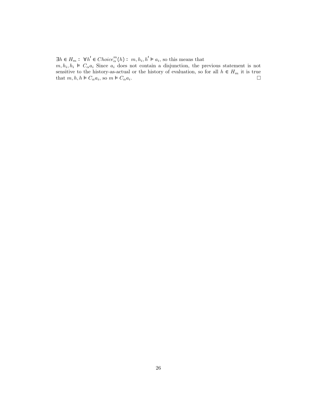$\exists h \in H_m: \ \forall h' \in Choice^m_{\alpha}(h): m, h_i, h' \models a_i$ , so this means that

 $m, h_i, h_i \vDash C_\alpha a_i$  Since  $a_i$  does not contain a disjunction, the previous statement is not sensitive to the history-as-actual or the history of evaluation, so for all  $h \in H_m$  it is true that  $m, h, h \models C_{\alpha} a_i$ , so  $m \models C_{\alpha} a_i$ .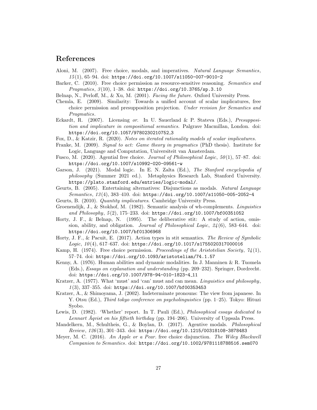### References

- Aloni, M. (2007). Free choice, modals, and imperatives. Natural Language Semantics,  $15(1)$ , 65-94. doi: https://doi.org/10.1007/s11050-007-9010-2
- Barker, C. (2010). Free choice permission as resource-sensitive reasoning. Semantics and Pragmatics, 3(10), 1-38. doi: https://doi.org/10.3765/sp.3.10
- Belnap, N., Perloff, M., & Xu, M. (2001). Facing the future. Oxford University Press.
- Chemla, E. (2009). Similarity: Towards a unified account of scalar implicatures, free choice permission and presupposition projection. Under revision for Semantics and Pragmatics.
- Eckardt, R. (2007). Licensing or. In U. Sauerland & P. Stateva (Eds.), *Presupposi*tion and implicature in compositional semantics. Palgrave Macmillan, London. doi: https://doi.org/10.1057/9780230210752 3
- Fox, D., & Katzir, R. (2020). Notes on iterated rationality models of scalar implicatures.
- Franke, M. (2009). Signal to act: Game theory in pragmatics (PhD thesis). Institute for Logic, Language and Computation, Universiteit van Amsterdam.
- Fusco, M.  $(2020)$ . Agential free choice. *Journal of Philosophical Logic*,  $50(1)$ ,  $57-87$ . doi: https://doi.org/10.1007/s10992-020-09561-w
- Garson, J. (2021). Modal logic. In E. N. Zalta (Ed.), The Stanford encyclopedia of philosophy (Summer 2021 ed.). Metaphysics Research Lab, Stanford University. https://plato.stanford.edu/entries/logic-modal/.
- Geurts, B. (2005). Entertaining alternatives: Disjunctions as modals. Natural Language Semantics, 13 (4), 383–410. doi: https://doi.org/10.1007/s11050-005-2052-4
- Geurts, B. (2010). Quantity implicatures. Cambridge University Press.
- Groenendijk, J., & Stokhof, M. (1982). Semantic analysis of wh-complements. Linguistics and Philosophy, 5(2), 175-233. doi: https://doi.org/10.1007/bf00351052
- Horty, J. F., & Belnap, N. (1995). The deliberative stit: A study of action, omission, ability, and obligation. *Journal of Philosophical Logic*,  $24(6)$ , 583–644. doi: https://doi.org/10.1007/bf01306968
- Horty, J. F., & Pacuit, E. (2017). Action types in stit semantics. The Review of Symbolic  $Logic, 10(4), 617–637. doi: <https://doi.org/10.1017/s1755020317000016>$
- Kamp, H. (1974). Free choice permission. Proceedings of the Aristotelian Society,  $74(1)$ , 57–74. doi: https://doi.org/10.1093/aristotelian/74.1.57
- Kenny, A. (1976). Human abilities and dynamic modalities. In J. Manninen & R. Tuomela (Eds.), Essays on explanation and understanding (pp. 209–232). Springer, Dordrecht. doi: https://doi.org/10.1007/978-94-010-1823-4 11
- Kratzer, A. (1977). What 'must' and 'can' must and can mean. *Linguistics and philosophy*,  $1 (3), 337-355.$  doi: https://doi.org/10.1007/bf00353453
- Kratzer, A., & Shimoyama, J. (2002). Indeterminate pronouns: The view from japanese. In Y. Otsu (Ed.), Third tokyo conference on psycholinguistics (pp. 1–25). Tokyo: Hituzi Syobo.
- Lewis, D. (1982). 'Whether' report. In T. Pauli (Ed.), *Philosophical essays dedicated to* Lennart  $\AA$ qvist on his fiftieth birthday (pp. 194–206). University of Uppsala Press.
- Mandelkern, M., Schultheis, G., & Boylan, D. (2017). Agentive modals. Philosophical Review, 126 (3), 301–343. doi: https://doi.org/10.1215/00318108-3878483
- Meyer, M. C. (2016). An Apple or a Pear. free choice disjunction. The Wiley Blackwell Companion to Semantics. doi: https://doi.org/10.1002/9781118788516.sem070